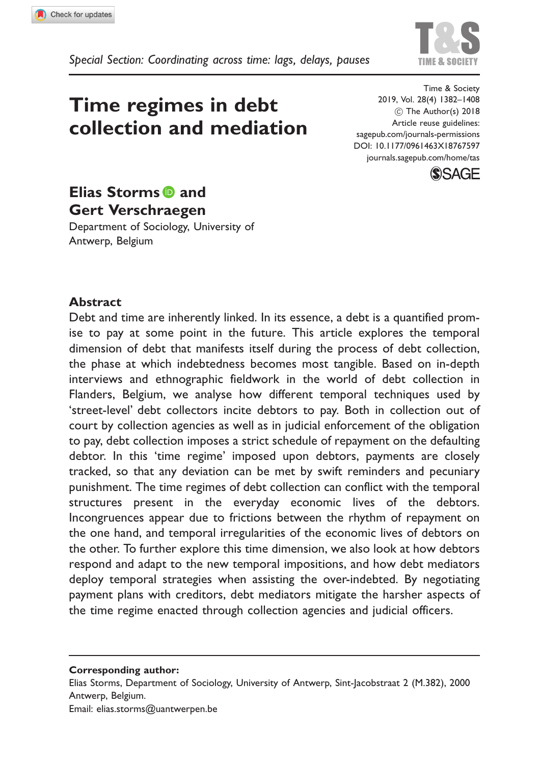

# Time regimes in debt collection and mediation

Time & Society 2019, Vol. 28(4) 1382–1408 (C) The Author(s) 2018 Article reuse guidelines: [sagepub.com/journals-permissions](http://uk.sagepub.com/en-gb/journals-permissions) [DOI: 10.1177/0961463X18767597](http://dx.doi.org/10.1177/0961463X18767597) <journals.sagepub.com/home/tas>



# Elias Storms **D** and Gert Verschraegen

Department of Sociology, University of Antwerp, Belgium

#### Abstract

Debt and time are inherently linked. In its essence, a debt is a quantified promise to pay at some point in the future. This article explores the temporal dimension of debt that manifests itself during the process of debt collection, the phase at which indebtedness becomes most tangible. Based on in-depth interviews and ethnographic fieldwork in the world of debt collection in Flanders, Belgium, we analyse how different temporal techniques used by 'street-level' debt collectors incite debtors to pay. Both in collection out of court by collection agencies as well as in judicial enforcement of the obligation to pay, debt collection imposes a strict schedule of repayment on the defaulting debtor. In this 'time regime' imposed upon debtors, payments are closely tracked, so that any deviation can be met by swift reminders and pecuniary punishment. The time regimes of debt collection can conflict with the temporal structures present in the everyday economic lives of the debtors. Incongruences appear due to frictions between the rhythm of repayment on the one hand, and temporal irregularities of the economic lives of debtors on the other. To further explore this time dimension, we also look at how debtors respond and adapt to the new temporal impositions, and how debt mediators deploy temporal strategies when assisting the over-indebted. By negotiating payment plans with creditors, debt mediators mitigate the harsher aspects of the time regime enacted through collection agencies and judicial officers.

Corresponding author:

Elias Storms, Department of Sociology, University of Antwerp, Sint-Jacobstraat 2 (M.382), 2000 Antwerp, Belgium.

Email: [elias.storms@uantwerpen.be](mailto:elias.storms@uantwerpen.be)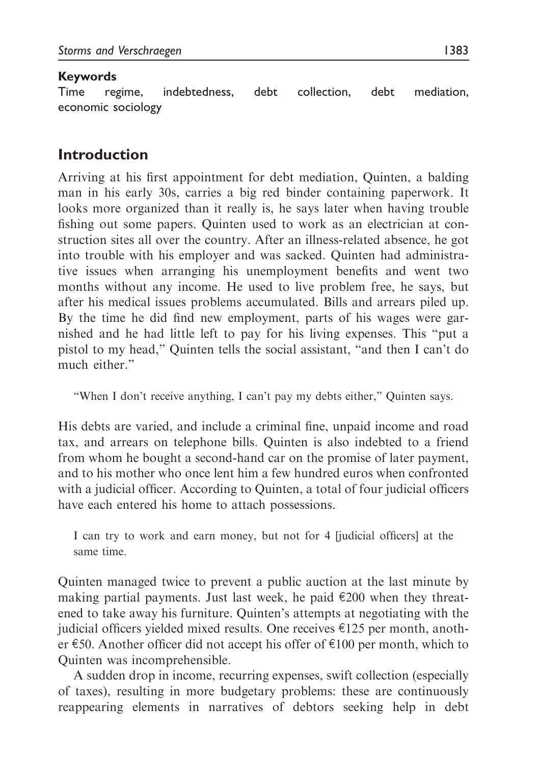#### Keywords

Time regime, indebtedness, debt collection, debt mediation, economic sociology

# Introduction

Arriving at his first appointment for debt mediation, Quinten, a balding man in his early 30s, carries a big red binder containing paperwork. It looks more organized than it really is, he says later when having trouble fishing out some papers. Quinten used to work as an electrician at construction sites all over the country. After an illness-related absence, he got into trouble with his employer and was sacked. Quinten had administrative issues when arranging his unemployment benefits and went two months without any income. He used to live problem free, he says, but after his medical issues problems accumulated. Bills and arrears piled up. By the time he did find new employment, parts of his wages were garnished and he had little left to pay for his living expenses. This "put a pistol to my head," Quinten tells the social assistant, "and then I can't do much either."

"When I don't receive anything, I can't pay my debts either," Quinten says.

His debts are varied, and include a criminal fine, unpaid income and road tax, and arrears on telephone bills. Quinten is also indebted to a friend from whom he bought a second-hand car on the promise of later payment, and to his mother who once lent him a few hundred euros when confronted with a judicial officer. According to Quinten, a total of four judicial officers have each entered his home to attach possessions.

I can try to work and earn money, but not for 4 [judicial officers] at the same time.

Quinten managed twice to prevent a public auction at the last minute by making partial payments. Just last week, he paid  $\epsilon$ 200 when they threatened to take away his furniture. Quinten's attempts at negotiating with the judicial officers yielded mixed results. One receives  $\epsilon$ 125 per month, another  $\epsilon$ 50. Another officer did not accept his offer of  $\epsilon$ 100 per month, which to Quinten was incomprehensible.

A sudden drop in income, recurring expenses, swift collection (especially of taxes), resulting in more budgetary problems: these are continuously reappearing elements in narratives of debtors seeking help in debt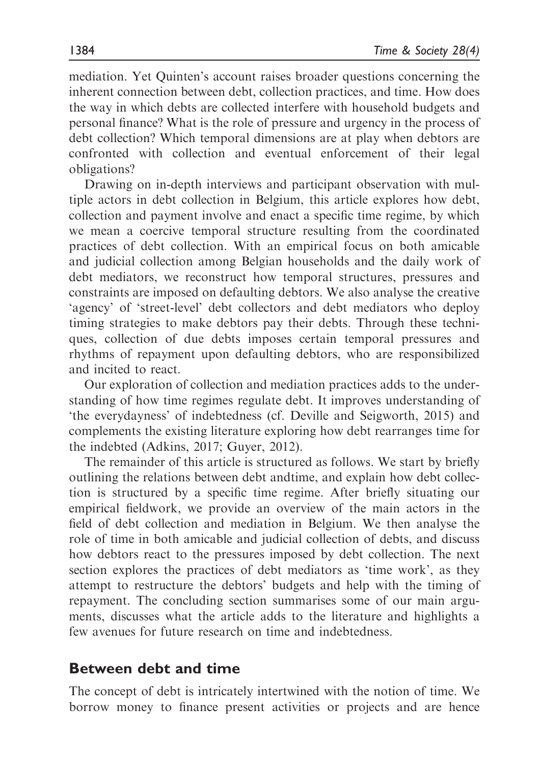mediation. Yet Quinten's account raises broader questions concerning the inherent connection between debt, collection practices, and time. How does the way in which debts are collected interfere with household budgets and personal finance? What is the role of pressure and urgency in the process of debt collection? Which temporal dimensions are at play when debtors are confronted with collection and eventual enforcement of their legal obligations?

Drawing on in-depth interviews and participant observation with multiple actors in debt collection in Belgium, this article explores how debt, collection and payment involve and enact a specific time regime, by which we mean a coercive temporal structure resulting from the coordinated practices of debt collection. With an empirical focus on both amicable and judicial collection among Belgian households and the daily work of debt mediators, we reconstruct how temporal structures, pressures and constraints are imposed on defaulting debtors. We also analyse the creative 'agency' of 'street-level' debt collectors and debt mediators who deploy timing strategies to make debtors pay their debts. Through these techniques, collection of due debts imposes certain temporal pressures and rhythms of repayment upon defaulting debtors, who are responsibilized and incited to react.

Our exploration of collection and mediation practices adds to the understanding of how time regimes regulate debt. It improves understanding of 'the everydayness' of indebtedness (cf. Deville and Seigworth, 2015) and complements the existing literature exploring how debt rearranges time for the indebted (Adkins, 2017; Guyer, 2012).

The remainder of this article is structured as follows. We start by briefly outlining the relations between debt andtime, and explain how debt collection is structured by a specific time regime. After briefly situating our empirical fieldwork, we provide an overview of the main actors in the field of debt collection and mediation in Belgium. We then analyse the role of time in both amicable and judicial collection of debts, and discuss how debtors react to the pressures imposed by debt collection. The next section explores the practices of debt mediators as 'time work', as they attempt to restructure the debtors' budgets and help with the timing of repayment. The concluding section summarises some of our main arguments, discusses what the article adds to the literature and highlights a few avenues for future research on time and indebtedness.

### Between debt and time

The concept of debt is intricately intertwined with the notion of time. We borrow money to finance present activities or projects and are hence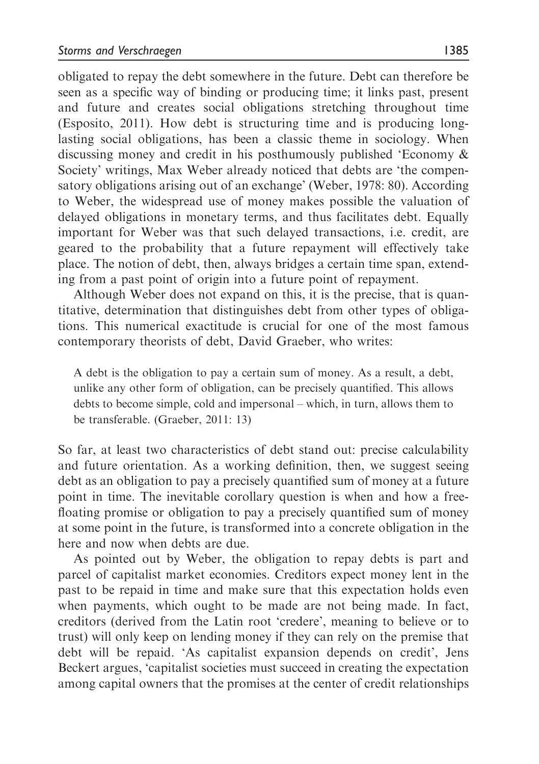obligated to repay the debt somewhere in the future. Debt can therefore be seen as a specific way of binding or producing time; it links past, present and future and creates social obligations stretching throughout time (Esposito, 2011). How debt is structuring time and is producing longlasting social obligations, has been a classic theme in sociology. When discussing money and credit in his posthumously published 'Economy & Society' writings, Max Weber already noticed that debts are 'the compensatory obligations arising out of an exchange' (Weber, 1978: 80). According to Weber, the widespread use of money makes possible the valuation of delayed obligations in monetary terms, and thus facilitates debt. Equally important for Weber was that such delayed transactions, i.e. credit, are geared to the probability that a future repayment will effectively take place. The notion of debt, then, always bridges a certain time span, extending from a past point of origin into a future point of repayment.

Although Weber does not expand on this, it is the precise, that is quantitative, determination that distinguishes debt from other types of obligations. This numerical exactitude is crucial for one of the most famous contemporary theorists of debt, David Graeber, who writes:

A debt is the obligation to pay a certain sum of money. As a result, a debt, unlike any other form of obligation, can be precisely quantified. This allows debts to become simple, cold and impersonal – which, in turn, allows them to be transferable. (Graeber, 2011: 13)

So far, at least two characteristics of debt stand out: precise calculability and future orientation. As a working definition, then, we suggest seeing debt as an obligation to pay a precisely quantified sum of money at a future point in time. The inevitable corollary question is when and how a freefloating promise or obligation to pay a precisely quantified sum of money at some point in the future, is transformed into a concrete obligation in the here and now when debts are due.

As pointed out by Weber, the obligation to repay debts is part and parcel of capitalist market economies. Creditors expect money lent in the past to be repaid in time and make sure that this expectation holds even when payments, which ought to be made are not being made. In fact, creditors (derived from the Latin root 'credere', meaning to believe or to trust) will only keep on lending money if they can rely on the premise that debt will be repaid. 'As capitalist expansion depends on credit', Jens Beckert argues, 'capitalist societies must succeed in creating the expectation among capital owners that the promises at the center of credit relationships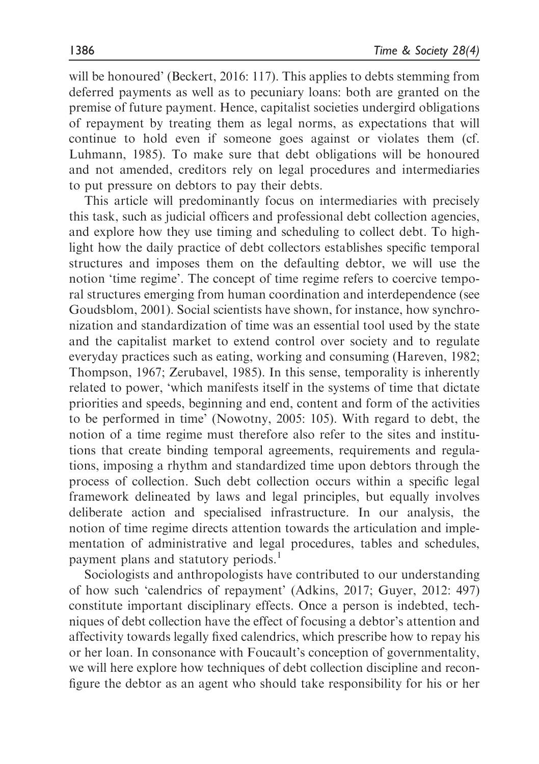will be honoured' (Beckert, 2016: 117). This applies to debts stemming from deferred payments as well as to pecuniary loans: both are granted on the premise of future payment. Hence, capitalist societies undergird obligations of repayment by treating them as legal norms, as expectations that will continue to hold even if someone goes against or violates them (cf. Luhmann, 1985). To make sure that debt obligations will be honoured and not amended, creditors rely on legal procedures and intermediaries to put pressure on debtors to pay their debts.

This article will predominantly focus on intermediaries with precisely this task, such as judicial officers and professional debt collection agencies, and explore how they use timing and scheduling to collect debt. To highlight how the daily practice of debt collectors establishes specific temporal structures and imposes them on the defaulting debtor, we will use the notion 'time regime'. The concept of time regime refers to coercive temporal structures emerging from human coordination and interdependence (see Goudsblom, 2001). Social scientists have shown, for instance, how synchronization and standardization of time was an essential tool used by the state and the capitalist market to extend control over society and to regulate everyday practices such as eating, working and consuming (Hareven, 1982; Thompson, 1967; Zerubavel, 1985). In this sense, temporality is inherently related to power, 'which manifests itself in the systems of time that dictate priorities and speeds, beginning and end, content and form of the activities to be performed in time' (Nowotny, 2005: 105). With regard to debt, the notion of a time regime must therefore also refer to the sites and institutions that create binding temporal agreements, requirements and regulations, imposing a rhythm and standardized time upon debtors through the process of collection. Such debt collection occurs within a specific legal framework delineated by laws and legal principles, but equally involves deliberate action and specialised infrastructure. In our analysis, the notion of time regime directs attention towards the articulation and implementation of administrative and legal procedures, tables and schedules, payment plans and statutory periods.<sup>1</sup>

Sociologists and anthropologists have contributed to our understanding of how such 'calendrics of repayment' (Adkins, 2017; Guyer, 2012: 497) constitute important disciplinary effects. Once a person is indebted, techniques of debt collection have the effect of focusing a debtor's attention and affectivity towards legally fixed calendrics, which prescribe how to repay his or her loan. In consonance with Foucault's conception of governmentality, we will here explore how techniques of debt collection discipline and reconfigure the debtor as an agent who should take responsibility for his or her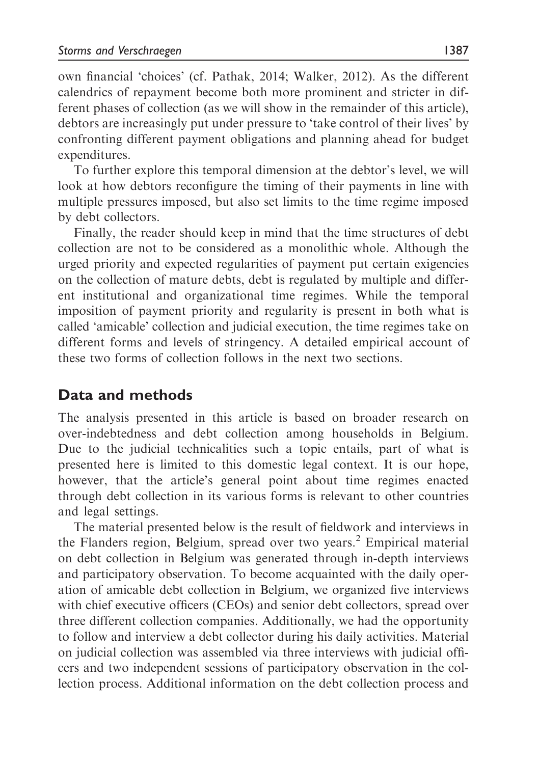own financial 'choices' (cf. Pathak, 2014; Walker, 2012). As the different calendrics of repayment become both more prominent and stricter in different phases of collection (as we will show in the remainder of this article), debtors are increasingly put under pressure to 'take control of their lives' by confronting different payment obligations and planning ahead for budget expenditures.

To further explore this temporal dimension at the debtor's level, we will look at how debtors reconfigure the timing of their payments in line with multiple pressures imposed, but also set limits to the time regime imposed by debt collectors.

Finally, the reader should keep in mind that the time structures of debt collection are not to be considered as a monolithic whole. Although the urged priority and expected regularities of payment put certain exigencies on the collection of mature debts, debt is regulated by multiple and different institutional and organizational time regimes. While the temporal imposition of payment priority and regularity is present in both what is called 'amicable' collection and judicial execution, the time regimes take on different forms and levels of stringency. A detailed empirical account of these two forms of collection follows in the next two sections.

### Data and methods

The analysis presented in this article is based on broader research on over-indebtedness and debt collection among households in Belgium. Due to the judicial technicalities such a topic entails, part of what is presented here is limited to this domestic legal context. It is our hope, however, that the article's general point about time regimes enacted through debt collection in its various forms is relevant to other countries and legal settings.

The material presented below is the result of fieldwork and interviews in the Flanders region, Belgium, spread over two years.<sup>2</sup> Empirical material on debt collection in Belgium was generated through in-depth interviews and participatory observation. To become acquainted with the daily operation of amicable debt collection in Belgium, we organized five interviews with chief executive officers (CEOs) and senior debt collectors, spread over three different collection companies. Additionally, we had the opportunity to follow and interview a debt collector during his daily activities. Material on judicial collection was assembled via three interviews with judicial officers and two independent sessions of participatory observation in the collection process. Additional information on the debt collection process and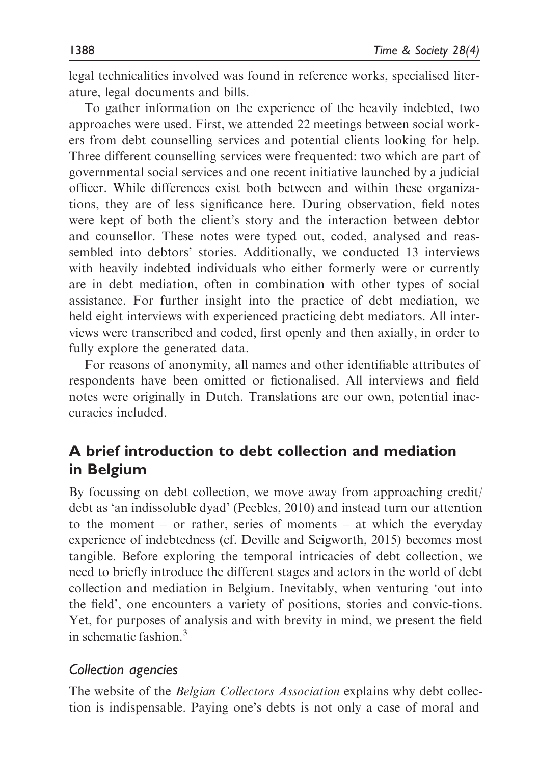legal technicalities involved was found in reference works, specialised literature, legal documents and bills.

To gather information on the experience of the heavily indebted, two approaches were used. First, we attended 22 meetings between social workers from debt counselling services and potential clients looking for help. Three different counselling services were frequented: two which are part of governmental social services and one recent initiative launched by a judicial officer. While differences exist both between and within these organizations, they are of less significance here. During observation, field notes were kept of both the client's story and the interaction between debtor and counsellor. These notes were typed out, coded, analysed and reassembled into debtors' stories. Additionally, we conducted 13 interviews with heavily indebted individuals who either formerly were or currently are in debt mediation, often in combination with other types of social assistance. For further insight into the practice of debt mediation, we held eight interviews with experienced practicing debt mediators. All interviews were transcribed and coded, first openly and then axially, in order to fully explore the generated data.

For reasons of anonymity, all names and other identifiable attributes of respondents have been omitted or fictionalised. All interviews and field notes were originally in Dutch. Translations are our own, potential inaccuracies included.

# A brief introduction to debt collection and mediation in Belgium

By focussing on debt collection, we move away from approaching credit/ debt as 'an indissoluble dyad' (Peebles, 2010) and instead turn our attention to the moment – or rather, series of moments – at which the everyday experience of indebtedness (cf. Deville and Seigworth, 2015) becomes most tangible. Before exploring the temporal intricacies of debt collection, we need to briefly introduce the different stages and actors in the world of debt collection and mediation in Belgium. Inevitably, when venturing 'out into the field', one encounters a variety of positions, stories and convic-tions. Yet, for purposes of analysis and with brevity in mind, we present the field in schematic fashion $3$ 

### Collection agencies

The website of the *Belgian Collectors Association* explains why debt collection is indispensable. Paying one's debts is not only a case of moral and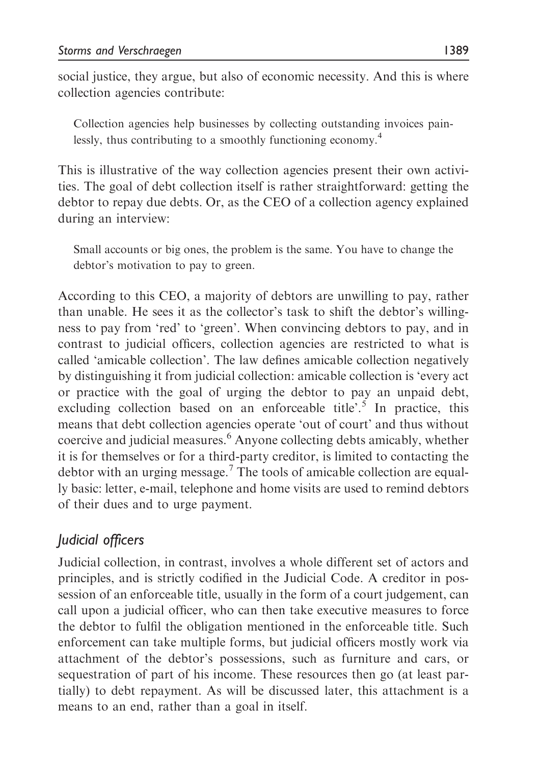social justice, they argue, but also of economic necessity. And this is where collection agencies contribute:

Collection agencies help businesses by collecting outstanding invoices painlessly, thus contributing to a smoothly functioning economy.<sup>4</sup>

This is illustrative of the way collection agencies present their own activities. The goal of debt collection itself is rather straightforward: getting the debtor to repay due debts. Or, as the CEO of a collection agency explained during an interview:

Small accounts or big ones, the problem is the same. You have to change the debtor's motivation to pay to green.

According to this CEO, a majority of debtors are unwilling to pay, rather than unable. He sees it as the collector's task to shift the debtor's willingness to pay from 'red' to 'green'. When convincing debtors to pay, and in contrast to judicial officers, collection agencies are restricted to what is called 'amicable collection'. The law defines amicable collection negatively by distinguishing it from judicial collection: amicable collection is 'every act or practice with the goal of urging the debtor to pay an unpaid debt, excluding collection based on an enforceable title'.<sup>5</sup> In practice, this means that debt collection agencies operate 'out of court' and thus without coercive and judicial measures.<sup>6</sup> Anyone collecting debts amicably, whether it is for themselves or for a third-party creditor, is limited to contacting the debtor with an urging message.<sup>7</sup> The tools of amicable collection are equally basic: letter, e-mail, telephone and home visits are used to remind debtors of their dues and to urge payment.

# Judicial officers

Judicial collection, in contrast, involves a whole different set of actors and principles, and is strictly codified in the Judicial Code. A creditor in possession of an enforceable title, usually in the form of a court judgement, can call upon a judicial officer, who can then take executive measures to force the debtor to fulfil the obligation mentioned in the enforceable title. Such enforcement can take multiple forms, but judicial officers mostly work via attachment of the debtor's possessions, such as furniture and cars, or sequestration of part of his income. These resources then go (at least partially) to debt repayment. As will be discussed later, this attachment is a means to an end, rather than a goal in itself.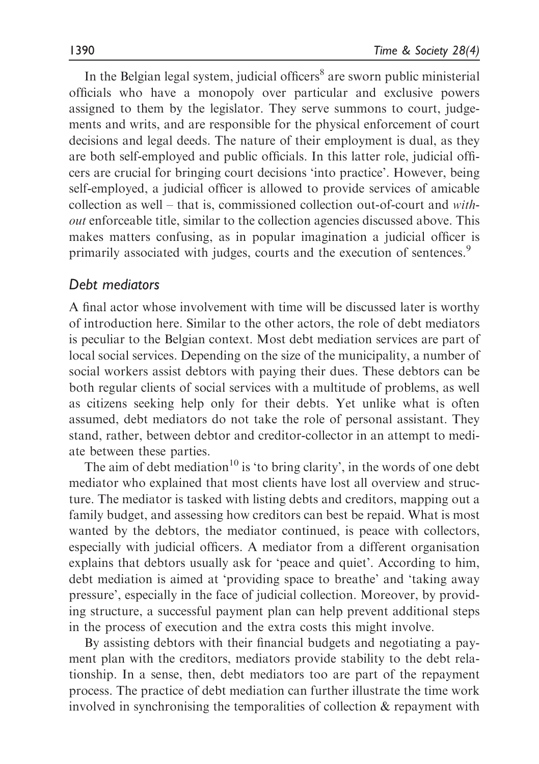In the Belgian legal system, judicial officers<sup>8</sup> are sworn public ministerial officials who have a monopoly over particular and exclusive powers assigned to them by the legislator. They serve summons to court, judgements and writs, and are responsible for the physical enforcement of court decisions and legal deeds. The nature of their employment is dual, as they are both self-employed and public officials. In this latter role, judicial officers are crucial for bringing court decisions 'into practice'. However, being self-employed, a judicial officer is allowed to provide services of amicable collection as well – that is, commissioned collection out-of-court and without enforceable title, similar to the collection agencies discussed above. This makes matters confusing, as in popular imagination a judicial officer is primarily associated with judges, courts and the execution of sentences.<sup>9</sup>

### Debt mediators

A final actor whose involvement with time will be discussed later is worthy of introduction here. Similar to the other actors, the role of debt mediators is peculiar to the Belgian context. Most debt mediation services are part of local social services. Depending on the size of the municipality, a number of social workers assist debtors with paying their dues. These debtors can be both regular clients of social services with a multitude of problems, as well as citizens seeking help only for their debts. Yet unlike what is often assumed, debt mediators do not take the role of personal assistant. They stand, rather, between debtor and creditor-collector in an attempt to mediate between these parties.

The aim of debt mediation<sup>10</sup> is 'to bring clarity', in the words of one debt mediator who explained that most clients have lost all overview and structure. The mediator is tasked with listing debts and creditors, mapping out a family budget, and assessing how creditors can best be repaid. What is most wanted by the debtors, the mediator continued, is peace with collectors, especially with judicial officers. A mediator from a different organisation explains that debtors usually ask for 'peace and quiet'. According to him, debt mediation is aimed at 'providing space to breathe' and 'taking away pressure', especially in the face of judicial collection. Moreover, by providing structure, a successful payment plan can help prevent additional steps in the process of execution and the extra costs this might involve.

By assisting debtors with their financial budgets and negotiating a payment plan with the creditors, mediators provide stability to the debt relationship. In a sense, then, debt mediators too are part of the repayment process. The practice of debt mediation can further illustrate the time work involved in synchronising the temporalities of collection & repayment with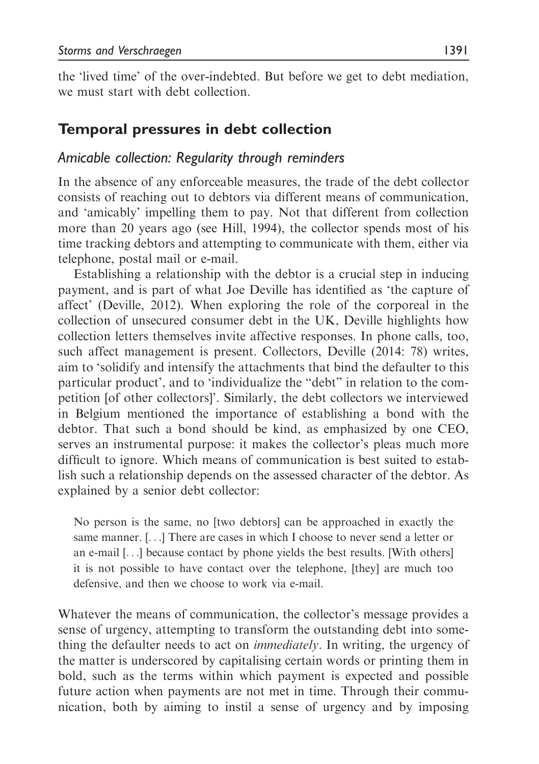the 'lived time' of the over-indebted. But before we get to debt mediation, we must start with debt collection.

# Temporal pressures in debt collection

### Amicable collection: Regularity through reminders

In the absence of any enforceable measures, the trade of the debt collector consists of reaching out to debtors via different means of communication, and 'amicably' impelling them to pay. Not that different from collection more than 20 years ago (see Hill, 1994), the collector spends most of his time tracking debtors and attempting to communicate with them, either via telephone, postal mail or e-mail.

Establishing a relationship with the debtor is a crucial step in inducing payment, and is part of what Joe Deville has identified as 'the capture of affect' (Deville, 2012). When exploring the role of the corporeal in the collection of unsecured consumer debt in the UK, Deville highlights how collection letters themselves invite affective responses. In phone calls, too, such affect management is present. Collectors, Deville (2014: 78) writes, aim to 'solidify and intensify the attachments that bind the defaulter to this particular product', and to 'individualize the "debt" in relation to the competition [of other collectors]'. Similarly, the debt collectors we interviewed in Belgium mentioned the importance of establishing a bond with the debtor. That such a bond should be kind, as emphasized by one CEO, serves an instrumental purpose: it makes the collector's pleas much more difficult to ignore. Which means of communication is best suited to establish such a relationship depends on the assessed character of the debtor. As explained by a senior debt collector:

No person is the same, no [two debtors] can be approached in exactly the same manner. [...] There are cases in which I choose to never send a letter or an e-mail [...] because contact by phone yields the best results. [With others] it is not possible to have contact over the telephone, [they] are much too defensive, and then we choose to work via e-mail.

Whatever the means of communication, the collector's message provides a sense of urgency, attempting to transform the outstanding debt into something the defaulter needs to act on immediately. In writing, the urgency of the matter is underscored by capitalising certain words or printing them in bold, such as the terms within which payment is expected and possible future action when payments are not met in time. Through their communication, both by aiming to instil a sense of urgency and by imposing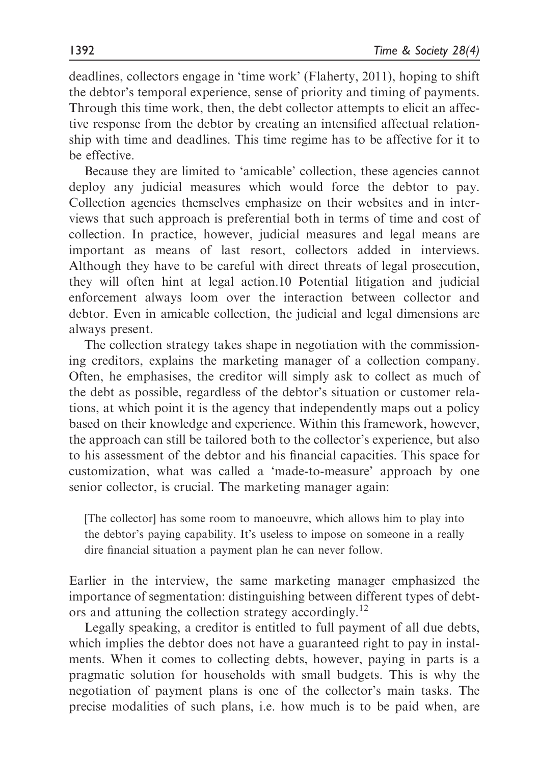deadlines, collectors engage in 'time work' (Flaherty, 2011), hoping to shift the debtor's temporal experience, sense of priority and timing of payments. Through this time work, then, the debt collector attempts to elicit an affective response from the debtor by creating an intensified affectual relationship with time and deadlines. This time regime has to be affective for it to be effective.

Because they are limited to 'amicable' collection, these agencies cannot deploy any judicial measures which would force the debtor to pay. Collection agencies themselves emphasize on their websites and in interviews that such approach is preferential both in terms of time and cost of collection. In practice, however, judicial measures and legal means are important as means of last resort, collectors added in interviews. Although they have to be careful with direct threats of legal prosecution, they will often hint at legal action.10 Potential litigation and judicial enforcement always loom over the interaction between collector and debtor. Even in amicable collection, the judicial and legal dimensions are always present.

The collection strategy takes shape in negotiation with the commissioning creditors, explains the marketing manager of a collection company. Often, he emphasises, the creditor will simply ask to collect as much of the debt as possible, regardless of the debtor's situation or customer relations, at which point it is the agency that independently maps out a policy based on their knowledge and experience. Within this framework, however, the approach can still be tailored both to the collector's experience, but also to his assessment of the debtor and his financial capacities. This space for customization, what was called a 'made-to-measure' approach by one senior collector, is crucial. The marketing manager again:

[The collector] has some room to manoeuvre, which allows him to play into the debtor's paying capability. It's useless to impose on someone in a really dire financial situation a payment plan he can never follow.

Earlier in the interview, the same marketing manager emphasized the importance of segmentation: distinguishing between different types of debtors and attuning the collection strategy accordingly.<sup>12</sup>

Legally speaking, a creditor is entitled to full payment of all due debts, which implies the debtor does not have a guaranteed right to pay in instalments. When it comes to collecting debts, however, paying in parts is a pragmatic solution for households with small budgets. This is why the negotiation of payment plans is one of the collector's main tasks. The precise modalities of such plans, i.e. how much is to be paid when, are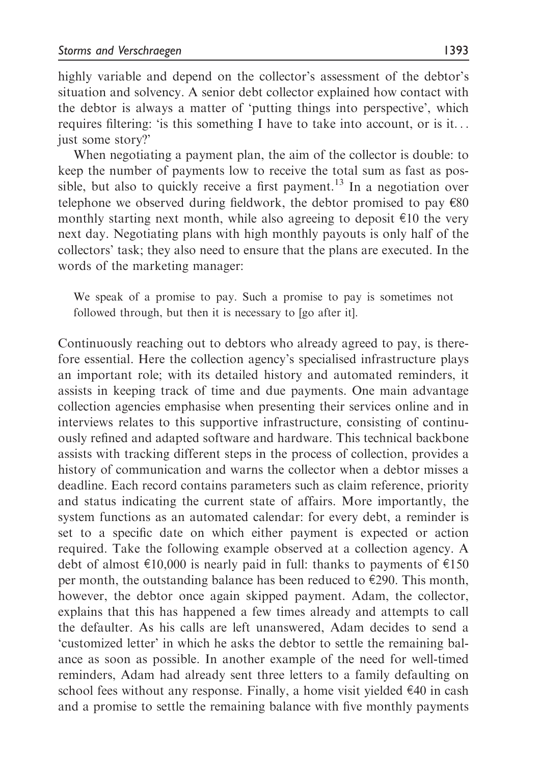highly variable and depend on the collector's assessment of the debtor's situation and solvency. A senior debt collector explained how contact with the debtor is always a matter of 'putting things into perspective', which requires filtering: 'is this something I have to take into account, or is it... just some story?'

When negotiating a payment plan, the aim of the collector is double: to keep the number of payments low to receive the total sum as fast as possible, but also to quickly receive a first payment.<sup>13</sup> In a negotiation over telephone we observed during fieldwork, the debtor promised to pay  $\epsilon$ 80 monthly starting next month, while also agreeing to deposit  $\epsilon$ 10 the very next day. Negotiating plans with high monthly payouts is only half of the collectors' task; they also need to ensure that the plans are executed. In the words of the marketing manager:

We speak of a promise to pay. Such a promise to pay is sometimes not followed through, but then it is necessary to [go after it].

Continuously reaching out to debtors who already agreed to pay, is therefore essential. Here the collection agency's specialised infrastructure plays an important role; with its detailed history and automated reminders, it assists in keeping track of time and due payments. One main advantage collection agencies emphasise when presenting their services online and in interviews relates to this supportive infrastructure, consisting of continuously refined and adapted software and hardware. This technical backbone assists with tracking different steps in the process of collection, provides a history of communication and warns the collector when a debtor misses a deadline. Each record contains parameters such as claim reference, priority and status indicating the current state of affairs. More importantly, the system functions as an automated calendar: for every debt, a reminder is set to a specific date on which either payment is expected or action required. Take the following example observed at a collection agency. A debt of almost  $\epsilon$ 10,000 is nearly paid in full: thanks to payments of  $\epsilon$ 150 per month, the outstanding balance has been reduced to  $E$ 290. This month, however, the debtor once again skipped payment. Adam, the collector, explains that this has happened a few times already and attempts to call the defaulter. As his calls are left unanswered, Adam decides to send a 'customized letter' in which he asks the debtor to settle the remaining balance as soon as possible. In another example of the need for well-timed reminders, Adam had already sent three letters to a family defaulting on school fees without any response. Finally, a home visit yielded  $\epsilon$ 40 in cash and a promise to settle the remaining balance with five monthly payments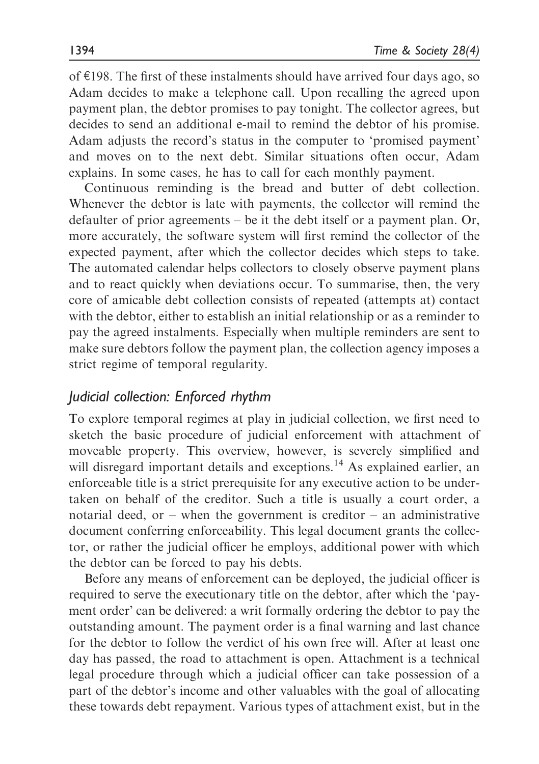of  $E$ 198. The first of these instalments should have arrived four days ago, so Adam decides to make a telephone call. Upon recalling the agreed upon payment plan, the debtor promises to pay tonight. The collector agrees, but decides to send an additional e-mail to remind the debtor of his promise. Adam adjusts the record's status in the computer to 'promised payment' and moves on to the next debt. Similar situations often occur, Adam explains. In some cases, he has to call for each monthly payment.

Continuous reminding is the bread and butter of debt collection. Whenever the debtor is late with payments, the collector will remind the defaulter of prior agreements – be it the debt itself or a payment plan. Or, more accurately, the software system will first remind the collector of the expected payment, after which the collector decides which steps to take. The automated calendar helps collectors to closely observe payment plans and to react quickly when deviations occur. To summarise, then, the very core of amicable debt collection consists of repeated (attempts at) contact with the debtor, either to establish an initial relationship or as a reminder to pay the agreed instalments. Especially when multiple reminders are sent to make sure debtors follow the payment plan, the collection agency imposes a strict regime of temporal regularity.

### Judicial collection: Enforced rhythm

To explore temporal regimes at play in judicial collection, we first need to sketch the basic procedure of judicial enforcement with attachment of moveable property. This overview, however, is severely simplified and will disregard important details and exceptions.<sup>14</sup> As explained earlier, an enforceable title is a strict prerequisite for any executive action to be undertaken on behalf of the creditor. Such a title is usually a court order, a notarial deed, or – when the government is creditor – an administrative document conferring enforceability. This legal document grants the collector, or rather the judicial officer he employs, additional power with which the debtor can be forced to pay his debts.

Before any means of enforcement can be deployed, the judicial officer is required to serve the executionary title on the debtor, after which the 'payment order' can be delivered: a writ formally ordering the debtor to pay the outstanding amount. The payment order is a final warning and last chance for the debtor to follow the verdict of his own free will. After at least one day has passed, the road to attachment is open. Attachment is a technical legal procedure through which a judicial officer can take possession of a part of the debtor's income and other valuables with the goal of allocating these towards debt repayment. Various types of attachment exist, but in the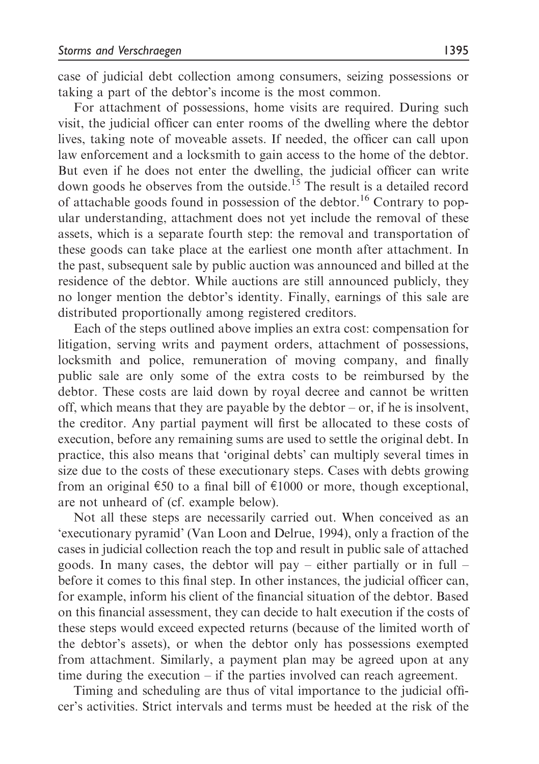case of judicial debt collection among consumers, seizing possessions or taking a part of the debtor's income is the most common.

For attachment of possessions, home visits are required. During such visit, the judicial officer can enter rooms of the dwelling where the debtor lives, taking note of moveable assets. If needed, the officer can call upon law enforcement and a locksmith to gain access to the home of the debtor. But even if he does not enter the dwelling, the judicial officer can write down goods he observes from the outside.<sup>15</sup> The result is a detailed record of attachable goods found in possession of the debtor.<sup>16</sup> Contrary to popular understanding, attachment does not yet include the removal of these assets, which is a separate fourth step: the removal and transportation of these goods can take place at the earliest one month after attachment. In the past, subsequent sale by public auction was announced and billed at the residence of the debtor. While auctions are still announced publicly, they no longer mention the debtor's identity. Finally, earnings of this sale are distributed proportionally among registered creditors.

Each of the steps outlined above implies an extra cost: compensation for litigation, serving writs and payment orders, attachment of possessions, locksmith and police, remuneration of moving company, and finally public sale are only some of the extra costs to be reimbursed by the debtor. These costs are laid down by royal decree and cannot be written off, which means that they are payable by the debtor – or, if he is insolvent, the creditor. Any partial payment will first be allocated to these costs of execution, before any remaining sums are used to settle the original debt. In practice, this also means that 'original debts' can multiply several times in size due to the costs of these executionary steps. Cases with debts growing from an original  $\epsilon$ 50 to a final bill of  $\epsilon$ 1000 or more, though exceptional, are not unheard of (cf. example below).

Not all these steps are necessarily carried out. When conceived as an 'executionary pyramid' (Van Loon and Delrue, 1994), only a fraction of the cases in judicial collection reach the top and result in public sale of attached goods. In many cases, the debtor will pay – either partially or in full – before it comes to this final step. In other instances, the judicial officer can, for example, inform his client of the financial situation of the debtor. Based on this financial assessment, they can decide to halt execution if the costs of these steps would exceed expected returns (because of the limited worth of the debtor's assets), or when the debtor only has possessions exempted from attachment. Similarly, a payment plan may be agreed upon at any time during the execution – if the parties involved can reach agreement.

Timing and scheduling are thus of vital importance to the judicial officer's activities. Strict intervals and terms must be heeded at the risk of the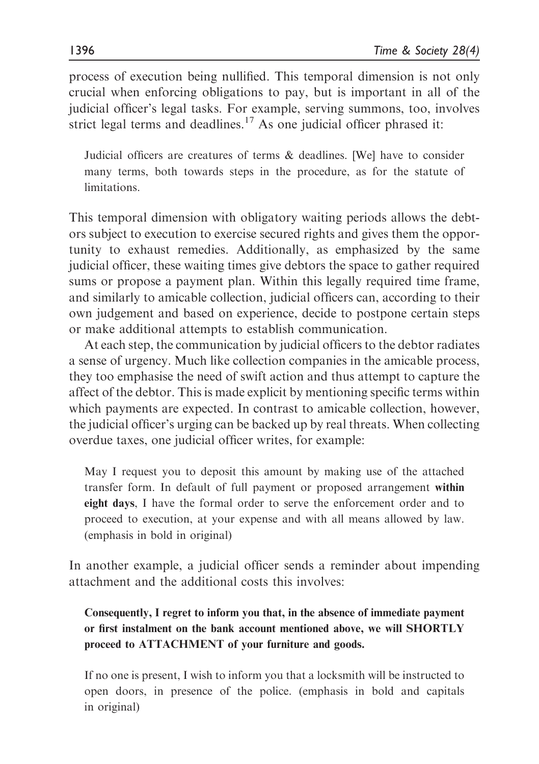process of execution being nullified. This temporal dimension is not only crucial when enforcing obligations to pay, but is important in all of the judicial officer's legal tasks. For example, serving summons, too, involves strict legal terms and deadlines.<sup>17</sup> As one judicial officer phrased it:

Judicial officers are creatures of terms & deadlines. [We] have to consider many terms, both towards steps in the procedure, as for the statute of limitations.

This temporal dimension with obligatory waiting periods allows the debtors subject to execution to exercise secured rights and gives them the opportunity to exhaust remedies. Additionally, as emphasized by the same judicial officer, these waiting times give debtors the space to gather required sums or propose a payment plan. Within this legally required time frame, and similarly to amicable collection, judicial officers can, according to their own judgement and based on experience, decide to postpone certain steps or make additional attempts to establish communication.

At each step, the communication by judicial officers to the debtor radiates a sense of urgency. Much like collection companies in the amicable process, they too emphasise the need of swift action and thus attempt to capture the affect of the debtor. This is made explicit by mentioning specific terms within which payments are expected. In contrast to amicable collection, however, the judicial officer's urging can be backed up by real threats. When collecting overdue taxes, one judicial officer writes, for example:

May I request you to deposit this amount by making use of the attached transfer form. In default of full payment or proposed arrangement within eight days, I have the formal order to serve the enforcement order and to proceed to execution, at your expense and with all means allowed by law. (emphasis in bold in original)

In another example, a judicial officer sends a reminder about impending attachment and the additional costs this involves:

Consequently, I regret to inform you that, in the absence of immediate payment or first instalment on the bank account mentioned above, we will SHORTLY proceed to ATTACHMENT of your furniture and goods.

If no one is present, I wish to inform you that a locksmith will be instructed to open doors, in presence of the police. (emphasis in bold and capitals in original)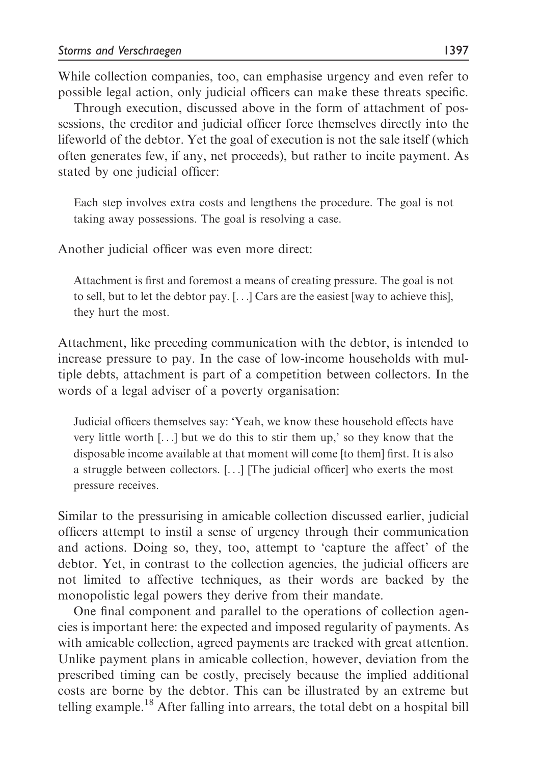While collection companies, too, can emphasise urgency and even refer to possible legal action, only judicial officers can make these threats specific.

Through execution, discussed above in the form of attachment of possessions, the creditor and judicial officer force themselves directly into the lifeworld of the debtor. Yet the goal of execution is not the sale itself (which often generates few, if any, net proceeds), but rather to incite payment. As stated by one judicial officer:

Each step involves extra costs and lengthens the procedure. The goal is not taking away possessions. The goal is resolving a case.

Another judicial officer was even more direct:

Attachment is first and foremost a means of creating pressure. The goal is not to sell, but to let the debtor pay. [...] Cars are the easiest [way to achieve this], they hurt the most.

Attachment, like preceding communication with the debtor, is intended to increase pressure to pay. In the case of low-income households with multiple debts, attachment is part of a competition between collectors. In the words of a legal adviser of a poverty organisation:

Judicial officers themselves say: 'Yeah, we know these household effects have very little worth [...] but we do this to stir them up,' so they know that the disposable income available at that moment will come [to them] first. It is also a struggle between collectors. [...] [The judicial officer] who exerts the most pressure receives.

Similar to the pressurising in amicable collection discussed earlier, judicial officers attempt to instil a sense of urgency through their communication and actions. Doing so, they, too, attempt to 'capture the affect' of the debtor. Yet, in contrast to the collection agencies, the judicial officers are not limited to affective techniques, as their words are backed by the monopolistic legal powers they derive from their mandate.

One final component and parallel to the operations of collection agencies is important here: the expected and imposed regularity of payments. As with amicable collection, agreed payments are tracked with great attention. Unlike payment plans in amicable collection, however, deviation from the prescribed timing can be costly, precisely because the implied additional costs are borne by the debtor. This can be illustrated by an extreme but telling example.<sup>18</sup> After falling into arrears, the total debt on a hospital bill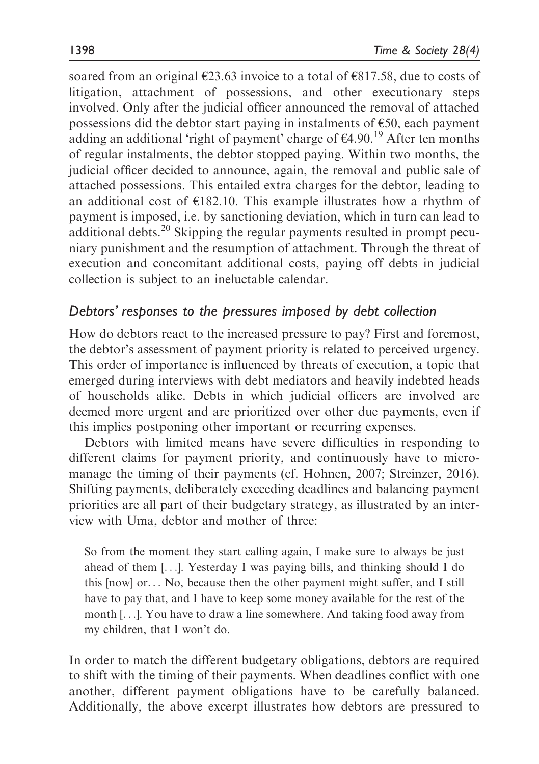soared from an original  $\epsilon$ 23.63 invoice to a total of  $\epsilon$ 817.58, due to costs of litigation, attachment of possessions, and other executionary steps involved. Only after the judicial officer announced the removal of attached possessions did the debtor start paying in instalments of  $E$ 50, each payment adding an additional 'right of payment' charge of  $\epsilon$ 4.90.<sup>19</sup> After ten months of regular instalments, the debtor stopped paying. Within two months, the judicial officer decided to announce, again, the removal and public sale of attached possessions. This entailed extra charges for the debtor, leading to an additional cost of  $E182.10$ . This example illustrates how a rhythm of payment is imposed, i.e. by sanctioning deviation, which in turn can lead to additional debts.<sup>20</sup> Skipping the regular payments resulted in prompt pecuniary punishment and the resumption of attachment. Through the threat of execution and concomitant additional costs, paying off debts in judicial collection is subject to an ineluctable calendar.

### Debtors' responses to the pressures imposed by debt collection

How do debtors react to the increased pressure to pay? First and foremost, the debtor's assessment of payment priority is related to perceived urgency. This order of importance is influenced by threats of execution, a topic that emerged during interviews with debt mediators and heavily indebted heads of households alike. Debts in which judicial officers are involved are deemed more urgent and are prioritized over other due payments, even if this implies postponing other important or recurring expenses.

Debtors with limited means have severe difficulties in responding to different claims for payment priority, and continuously have to micromanage the timing of their payments (cf. Hohnen, 2007; Streinzer, 2016). Shifting payments, deliberately exceeding deadlines and balancing payment priorities are all part of their budgetary strategy, as illustrated by an interview with Uma, debtor and mother of three:

So from the moment they start calling again, I make sure to always be just ahead of them [...]. Yesterday I was paying bills, and thinking should I do this [now] or... No, because then the other payment might suffer, and I still have to pay that, and I have to keep some money available for the rest of the month [...]. You have to draw a line somewhere. And taking food away from my children, that I won't do.

In order to match the different budgetary obligations, debtors are required to shift with the timing of their payments. When deadlines conflict with one another, different payment obligations have to be carefully balanced. Additionally, the above excerpt illustrates how debtors are pressured to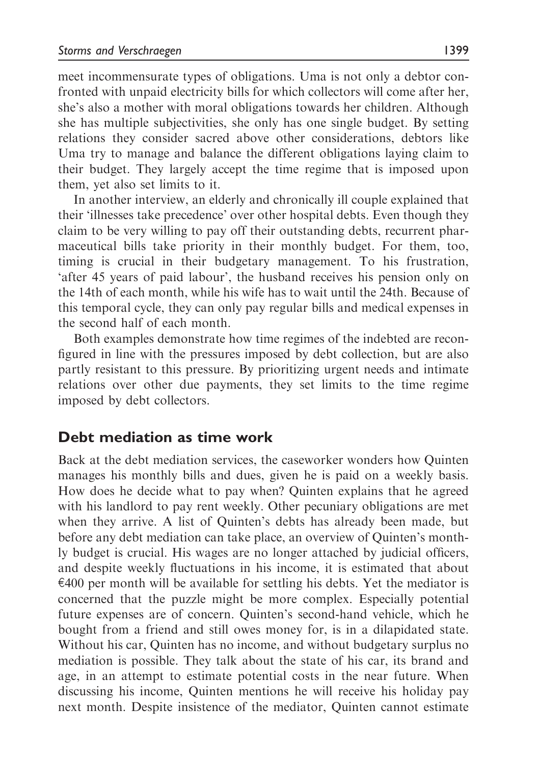meet incommensurate types of obligations. Uma is not only a debtor confronted with unpaid electricity bills for which collectors will come after her, she's also a mother with moral obligations towards her children. Although she has multiple subjectivities, she only has one single budget. By setting relations they consider sacred above other considerations, debtors like Uma try to manage and balance the different obligations laying claim to their budget. They largely accept the time regime that is imposed upon them, yet also set limits to it.

In another interview, an elderly and chronically ill couple explained that their 'illnesses take precedence' over other hospital debts. Even though they claim to be very willing to pay off their outstanding debts, recurrent pharmaceutical bills take priority in their monthly budget. For them, too, timing is crucial in their budgetary management. To his frustration, 'after 45 years of paid labour', the husband receives his pension only on the 14th of each month, while his wife has to wait until the 24th. Because of this temporal cycle, they can only pay regular bills and medical expenses in the second half of each month.

Both examples demonstrate how time regimes of the indebted are reconfigured in line with the pressures imposed by debt collection, but are also partly resistant to this pressure. By prioritizing urgent needs and intimate relations over other due payments, they set limits to the time regime imposed by debt collectors.

### Debt mediation as time work

Back at the debt mediation services, the caseworker wonders how Quinten manages his monthly bills and dues, given he is paid on a weekly basis. How does he decide what to pay when? Quinten explains that he agreed with his landlord to pay rent weekly. Other pecuniary obligations are met when they arrive. A list of Quinten's debts has already been made, but before any debt mediation can take place, an overview of Quinten's monthly budget is crucial. His wages are no longer attached by judicial officers, and despite weekly fluctuations in his income, it is estimated that about  $\epsilon$ 400 per month will be available for settling his debts. Yet the mediator is concerned that the puzzle might be more complex. Especially potential future expenses are of concern. Quinten's second-hand vehicle, which he bought from a friend and still owes money for, is in a dilapidated state. Without his car, Quinten has no income, and without budgetary surplus no mediation is possible. They talk about the state of his car, its brand and age, in an attempt to estimate potential costs in the near future. When discussing his income, Quinten mentions he will receive his holiday pay next month. Despite insistence of the mediator, Quinten cannot estimate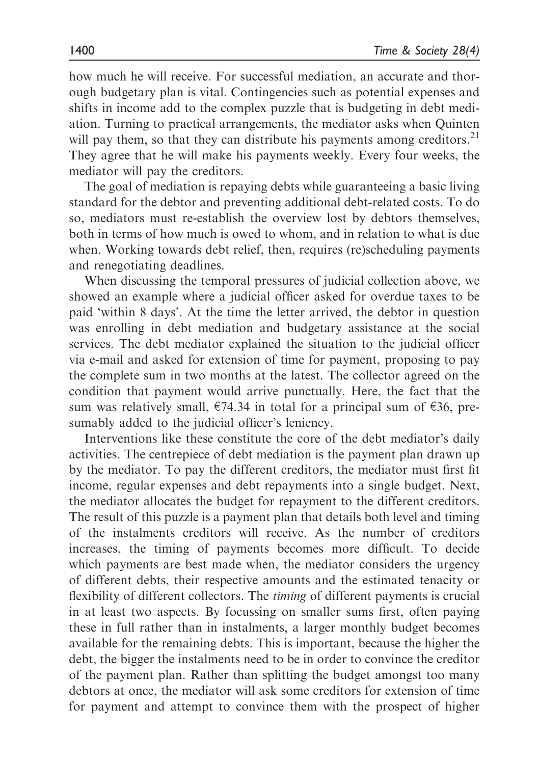how much he will receive. For successful mediation, an accurate and thorough budgetary plan is vital. Contingencies such as potential expenses and shifts in income add to the complex puzzle that is budgeting in debt mediation. Turning to practical arrangements, the mediator asks when Quinten will pay them, so that they can distribute his payments among creditors.<sup>21</sup> They agree that he will make his payments weekly. Every four weeks, the mediator will pay the creditors.

The goal of mediation is repaying debts while guaranteeing a basic living standard for the debtor and preventing additional debt-related costs. To do so, mediators must re-establish the overview lost by debtors themselves, both in terms of how much is owed to whom, and in relation to what is due when. Working towards debt relief, then, requires (re)scheduling payments and renegotiating deadlines.

When discussing the temporal pressures of judicial collection above, we showed an example where a judicial officer asked for overdue taxes to be paid 'within 8 days'. At the time the letter arrived, the debtor in question was enrolling in debt mediation and budgetary assistance at the social services. The debt mediator explained the situation to the judicial officer via e-mail and asked for extension of time for payment, proposing to pay the complete sum in two months at the latest. The collector agreed on the condition that payment would arrive punctually. Here, the fact that the sum was relatively small,  $\epsilon$ 74.34 in total for a principal sum of  $\epsilon$ 36, presumably added to the judicial officer's leniency.

Interventions like these constitute the core of the debt mediator's daily activities. The centrepiece of debt mediation is the payment plan drawn up by the mediator. To pay the different creditors, the mediator must first fit income, regular expenses and debt repayments into a single budget. Next, the mediator allocates the budget for repayment to the different creditors. The result of this puzzle is a payment plan that details both level and timing of the instalments creditors will receive. As the number of creditors increases, the timing of payments becomes more difficult. To decide which payments are best made when, the mediator considers the urgency of different debts, their respective amounts and the estimated tenacity or flexibility of different collectors. The timing of different payments is crucial in at least two aspects. By focussing on smaller sums first, often paying these in full rather than in instalments, a larger monthly budget becomes available for the remaining debts. This is important, because the higher the debt, the bigger the instalments need to be in order to convince the creditor of the payment plan. Rather than splitting the budget amongst too many debtors at once, the mediator will ask some creditors for extension of time for payment and attempt to convince them with the prospect of higher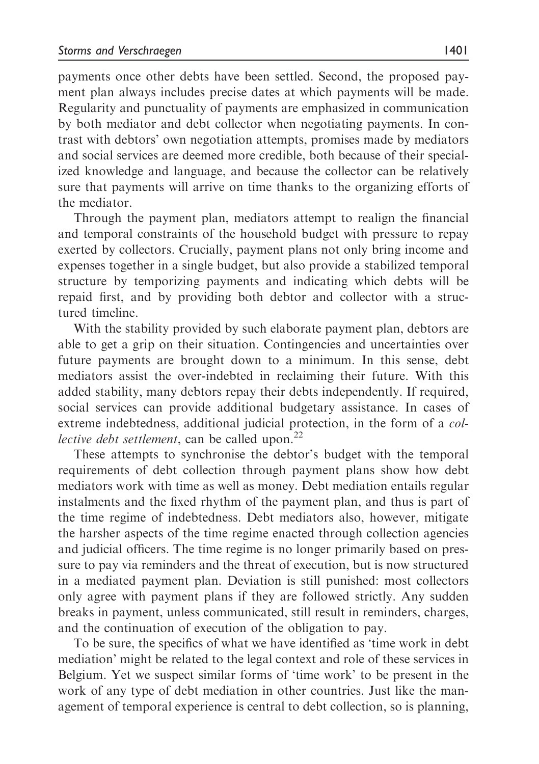payments once other debts have been settled. Second, the proposed payment plan always includes precise dates at which payments will be made. Regularity and punctuality of payments are emphasized in communication by both mediator and debt collector when negotiating payments. In contrast with debtors' own negotiation attempts, promises made by mediators and social services are deemed more credible, both because of their specialized knowledge and language, and because the collector can be relatively sure that payments will arrive on time thanks to the organizing efforts of the mediator.

Through the payment plan, mediators attempt to realign the financial and temporal constraints of the household budget with pressure to repay exerted by collectors. Crucially, payment plans not only bring income and expenses together in a single budget, but also provide a stabilized temporal structure by temporizing payments and indicating which debts will be repaid first, and by providing both debtor and collector with a structured timeline.

With the stability provided by such elaborate payment plan, debtors are able to get a grip on their situation. Contingencies and uncertainties over future payments are brought down to a minimum. In this sense, debt mediators assist the over-indebted in reclaiming their future. With this added stability, many debtors repay their debts independently. If required, social services can provide additional budgetary assistance. In cases of extreme indebtedness, additional judicial protection, in the form of a collective debt settlement, can be called upon. $^{22}$ 

These attempts to synchronise the debtor's budget with the temporal requirements of debt collection through payment plans show how debt mediators work with time as well as money. Debt mediation entails regular instalments and the fixed rhythm of the payment plan, and thus is part of the time regime of indebtedness. Debt mediators also, however, mitigate the harsher aspects of the time regime enacted through collection agencies and judicial officers. The time regime is no longer primarily based on pressure to pay via reminders and the threat of execution, but is now structured in a mediated payment plan. Deviation is still punished: most collectors only agree with payment plans if they are followed strictly. Any sudden breaks in payment, unless communicated, still result in reminders, charges, and the continuation of execution of the obligation to pay.

To be sure, the specifics of what we have identified as 'time work in debt mediation' might be related to the legal context and role of these services in Belgium. Yet we suspect similar forms of 'time work' to be present in the work of any type of debt mediation in other countries. Just like the management of temporal experience is central to debt collection, so is planning,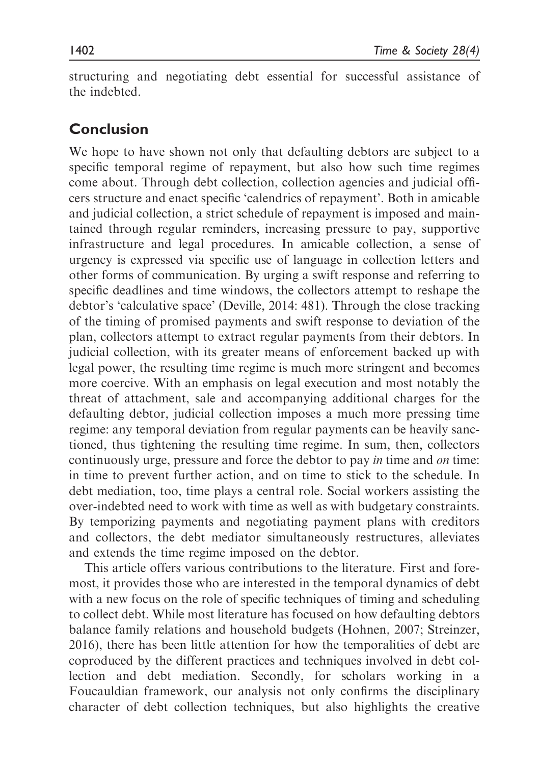structuring and negotiating debt essential for successful assistance of the indebted.

### Conclusion

We hope to have shown not only that defaulting debtors are subject to a specific temporal regime of repayment, but also how such time regimes come about. Through debt collection, collection agencies and judicial officers structure and enact specific 'calendrics of repayment'. Both in amicable and judicial collection, a strict schedule of repayment is imposed and maintained through regular reminders, increasing pressure to pay, supportive infrastructure and legal procedures. In amicable collection, a sense of urgency is expressed via specific use of language in collection letters and other forms of communication. By urging a swift response and referring to specific deadlines and time windows, the collectors attempt to reshape the debtor's 'calculative space' (Deville, 2014: 481). Through the close tracking of the timing of promised payments and swift response to deviation of the plan, collectors attempt to extract regular payments from their debtors. In judicial collection, with its greater means of enforcement backed up with legal power, the resulting time regime is much more stringent and becomes more coercive. With an emphasis on legal execution and most notably the threat of attachment, sale and accompanying additional charges for the defaulting debtor, judicial collection imposes a much more pressing time regime: any temporal deviation from regular payments can be heavily sanctioned, thus tightening the resulting time regime. In sum, then, collectors continuously urge, pressure and force the debtor to pay in time and on time: in time to prevent further action, and on time to stick to the schedule. In debt mediation, too, time plays a central role. Social workers assisting the over-indebted need to work with time as well as with budgetary constraints. By temporizing payments and negotiating payment plans with creditors and collectors, the debt mediator simultaneously restructures, alleviates and extends the time regime imposed on the debtor.

This article offers various contributions to the literature. First and foremost, it provides those who are interested in the temporal dynamics of debt with a new focus on the role of specific techniques of timing and scheduling to collect debt. While most literature has focused on how defaulting debtors balance family relations and household budgets (Hohnen, 2007; Streinzer, 2016), there has been little attention for how the temporalities of debt are coproduced by the different practices and techniques involved in debt collection and debt mediation. Secondly, for scholars working in a Foucauldian framework, our analysis not only confirms the disciplinary character of debt collection techniques, but also highlights the creative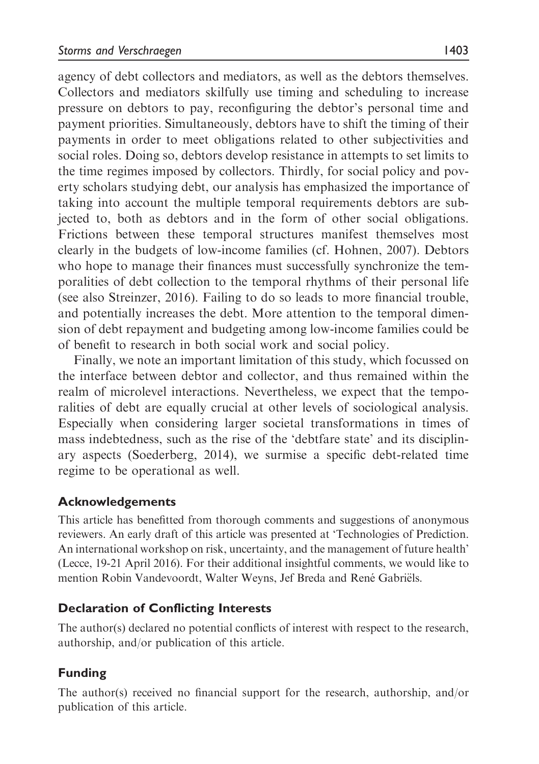agency of debt collectors and mediators, as well as the debtors themselves. Collectors and mediators skilfully use timing and scheduling to increase pressure on debtors to pay, reconfiguring the debtor's personal time and payment priorities. Simultaneously, debtors have to shift the timing of their payments in order to meet obligations related to other subjectivities and social roles. Doing so, debtors develop resistance in attempts to set limits to the time regimes imposed by collectors. Thirdly, for social policy and poverty scholars studying debt, our analysis has emphasized the importance of taking into account the multiple temporal requirements debtors are subjected to, both as debtors and in the form of other social obligations. Frictions between these temporal structures manifest themselves most clearly in the budgets of low-income families (cf. Hohnen, 2007). Debtors who hope to manage their finances must successfully synchronize the temporalities of debt collection to the temporal rhythms of their personal life (see also Streinzer, 2016). Failing to do so leads to more financial trouble, and potentially increases the debt. More attention to the temporal dimension of debt repayment and budgeting among low-income families could be of benefit to research in both social work and social policy.

Finally, we note an important limitation of this study, which focussed on the interface between debtor and collector, and thus remained within the realm of microlevel interactions. Nevertheless, we expect that the temporalities of debt are equally crucial at other levels of sociological analysis. Especially when considering larger societal transformations in times of mass indebtedness, such as the rise of the 'debtfare state' and its disciplinary aspects (Soederberg, 2014), we surmise a specific debt-related time regime to be operational as well.

### Acknowledgements

This article has benefitted from thorough comments and suggestions of anonymous reviewers. An early draft of this article was presented at 'Technologies of Prediction. An international workshop on risk, uncertainty, and the management of future health' (Lecce, 19-21 April 2016). For their additional insightful comments, we would like to mention Robin Vandevoordt, Walter Weyns, Jef Breda and René Gabriëls.

#### Declaration of Conflicting Interests

The author(s) declared no potential conflicts of interest with respect to the research, authorship, and/or publication of this article.

### Funding

The author(s) received no financial support for the research, authorship, and/or publication of this article.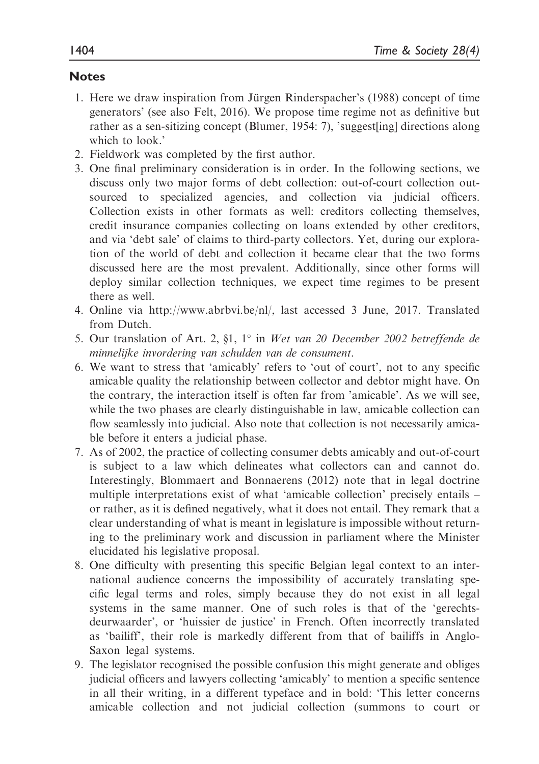#### **Notes**

- 1. Here we draw inspiration from Jürgen Rinderspacher's (1988) concept of time generators' (see also Felt, 2016). We propose time regime not as definitive but rather as a sen-sitizing concept (Blumer, 1954: 7), 'suggest ling directions along which to look<sup>'</sup>
- 2. Fieldwork was completed by the first author.
- 3. One final preliminary consideration is in order. In the following sections, we discuss only two major forms of debt collection: out-of-court collection outsourced to specialized agencies, and collection via judicial officers. Collection exists in other formats as well: creditors collecting themselves, credit insurance companies collecting on loans extended by other creditors, and via 'debt sale' of claims to third-party collectors. Yet, during our exploration of the world of debt and collection it became clear that the two forms discussed here are the most prevalent. Additionally, since other forms will deploy similar collection techniques, we expect time regimes to be present there as well.
- 4. Online via [http://www.abrbvi.be/nl/,](http://www.abrbvi.be/nl/) last accessed 3 June, 2017. Translated from Dutch.
- 5. Our translation of Art. 2,  $\S1$ , 1° in Wet van 20 December 2002 betreffende de minnelijke invordering van schulden van de consument.
- 6. We want to stress that 'amicably' refers to 'out of court', not to any specific amicable quality the relationship between collector and debtor might have. On the contrary, the interaction itself is often far from 'amicable'. As we will see, while the two phases are clearly distinguishable in law, amicable collection can flow seamlessly into judicial. Also note that collection is not necessarily amicable before it enters a judicial phase.
- 7. As of 2002, the practice of collecting consumer debts amicably and out-of-court is subject to a law which delineates what collectors can and cannot do. Interestingly, Blommaert and Bonnaerens (2012) note that in legal doctrine multiple interpretations exist of what 'amicable collection' precisely entails – or rather, as it is defined negatively, what it does not entail. They remark that a clear understanding of what is meant in legislature is impossible without returning to the preliminary work and discussion in parliament where the Minister elucidated his legislative proposal.
- 8. One difficulty with presenting this specific Belgian legal context to an international audience concerns the impossibility of accurately translating specific legal terms and roles, simply because they do not exist in all legal systems in the same manner. One of such roles is that of the 'gerechtsdeurwaarder', or 'huissier de justice' in French. Often incorrectly translated as 'bailiff', their role is markedly different from that of bailiffs in Anglo-Saxon legal systems.
- 9. The legislator recognised the possible confusion this might generate and obliges judicial officers and lawyers collecting 'amicably' to mention a specific sentence in all their writing, in a different typeface and in bold: 'This letter concerns amicable collection and not judicial collection (summons to court or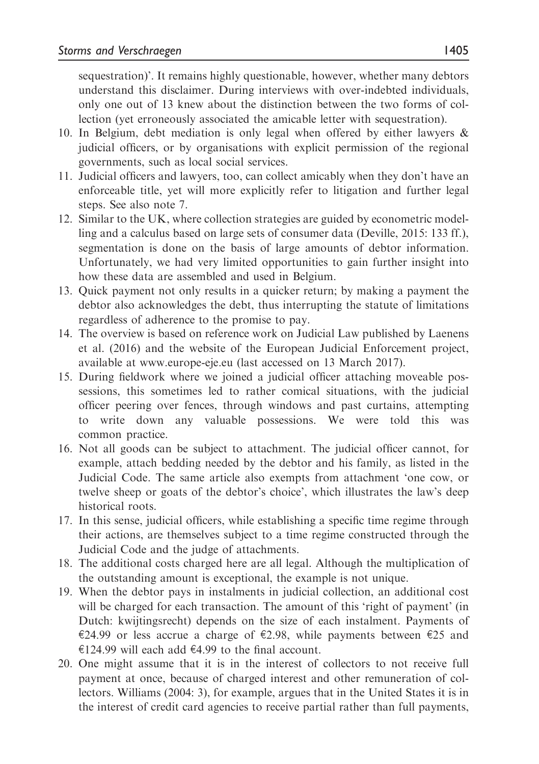sequestration)'. It remains highly questionable, however, whether many debtors understand this disclaimer. During interviews with over-indebted individuals, only one out of 13 knew about the distinction between the two forms of collection (yet erroneously associated the amicable letter with sequestration).

- 10. In Belgium, debt mediation is only legal when offered by either lawyers & judicial officers, or by organisations with explicit permission of the regional governments, such as local social services.
- 11. Judicial officers and lawyers, too, can collect amicably when they don't have an enforceable title, yet will more explicitly refer to litigation and further legal steps. See also note 7.
- 12. Similar to the UK, where collection strategies are guided by econometric modelling and a calculus based on large sets of consumer data (Deville, 2015: 133 ff.), segmentation is done on the basis of large amounts of debtor information. Unfortunately, we had very limited opportunities to gain further insight into how these data are assembled and used in Belgium.
- 13. Quick payment not only results in a quicker return; by making a payment the debtor also acknowledges the debt, thus interrupting the statute of limitations regardless of adherence to the promise to pay.
- 14. The overview is based on reference work on Judicial Law published by Laenens et al. (2016) and the website of the European Judicial Enforcement project, available at<www.europe-eje.eu> (last accessed on 13 March 2017).
- 15. During fieldwork where we joined a judicial officer attaching moveable possessions, this sometimes led to rather comical situations, with the judicial officer peering over fences, through windows and past curtains, attempting to write down any valuable possessions. We were told this was common practice.
- 16. Not all goods can be subject to attachment. The judicial officer cannot, for example, attach bedding needed by the debtor and his family, as listed in the Judicial Code. The same article also exempts from attachment 'one cow, or twelve sheep or goats of the debtor's choice', which illustrates the law's deep historical roots.
- 17. In this sense, judicial officers, while establishing a specific time regime through their actions, are themselves subject to a time regime constructed through the Judicial Code and the judge of attachments.
- 18. The additional costs charged here are all legal. Although the multiplication of the outstanding amount is exceptional, the example is not unique.
- 19. When the debtor pays in instalments in judicial collection, an additional cost will be charged for each transaction. The amount of this 'right of payment' (in Dutch: kwijtingsrecht) depends on the size of each instalment. Payments of €24.99 or less accrue a charge of €2.98, while payments between €25 and  $\epsilon$ 124.99 will each add  $\epsilon$ 4.99 to the final account.
- 20. One might assume that it is in the interest of collectors to not receive full payment at once, because of charged interest and other remuneration of collectors. Williams (2004: 3), for example, argues that in the United States it is in the interest of credit card agencies to receive partial rather than full payments,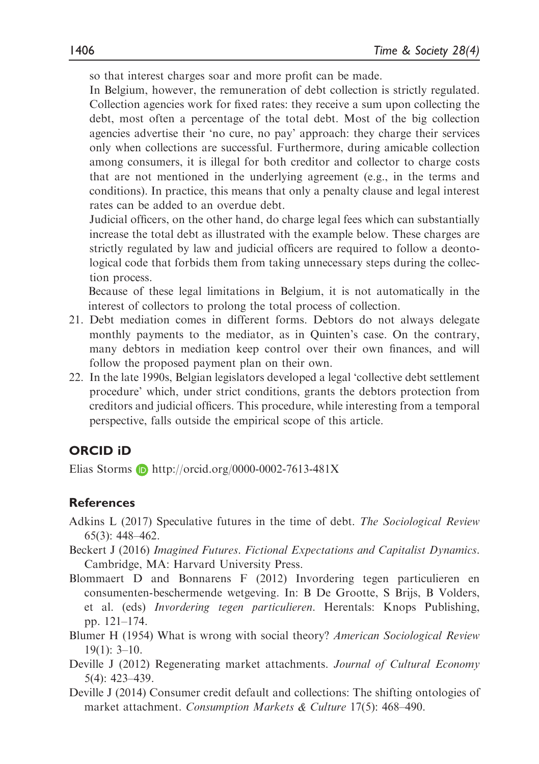so that interest charges soar and more profit can be made.

In Belgium, however, the remuneration of debt collection is strictly regulated. Collection agencies work for fixed rates: they receive a sum upon collecting the debt, most often a percentage of the total debt. Most of the big collection agencies advertise their 'no cure, no pay' approach: they charge their services only when collections are successful. Furthermore, during amicable collection among consumers, it is illegal for both creditor and collector to charge costs that are not mentioned in the underlying agreement (e.g., in the terms and conditions). In practice, this means that only a penalty clause and legal interest rates can be added to an overdue debt.

Judicial officers, on the other hand, do charge legal fees which can substantially increase the total debt as illustrated with the example below. These charges are strictly regulated by law and judicial officers are required to follow a deontological code that forbids them from taking unnecessary steps during the collection process.

Because of these legal limitations in Belgium, it is not automatically in the interest of collectors to prolong the total process of collection.

- 21. Debt mediation comes in different forms. Debtors do not always delegate monthly payments to the mediator, as in Quinten's case. On the contrary, many debtors in mediation keep control over their own finances, and will follow the proposed payment plan on their own.
- 22. In the late 1990s, Belgian legislators developed a legal 'collective debt settlement procedure' which, under strict conditions, grants the debtors protection from creditors and judicial officers. This procedure, while interesting from a temporal perspective, falls outside the empirical scope of this article.

### ORCID iD

Elias Storms  $\blacksquare$  http://orcid.org/0000-0002-7613-481X

#### References

- Adkins L (2017) Speculative futures in the time of debt. The Sociological Review 65(3): 448–462.
- Beckert J (2016) Imagined Futures. Fictional Expectations and Capitalist Dynamics. Cambridge, MA: Harvard University Press.
- Blommaert D and Bonnarens F (2012) Invordering tegen particulieren en consumenten-beschermende wetgeving. In: B De Grootte, S Brijs, B Volders, et al. (eds) Invordering tegen particulieren. Herentals: Knops Publishing, pp. 121–174.
- Blumer H (1954) What is wrong with social theory? American Sociological Review  $19(1)$ : 3-10.
- Deville J (2012) Regenerating market attachments. Journal of Cultural Economy 5(4): 423–439.
- Deville J (2014) Consumer credit default and collections: The shifting ontologies of market attachment. Consumption Markets & Culture 17(5): 468–490.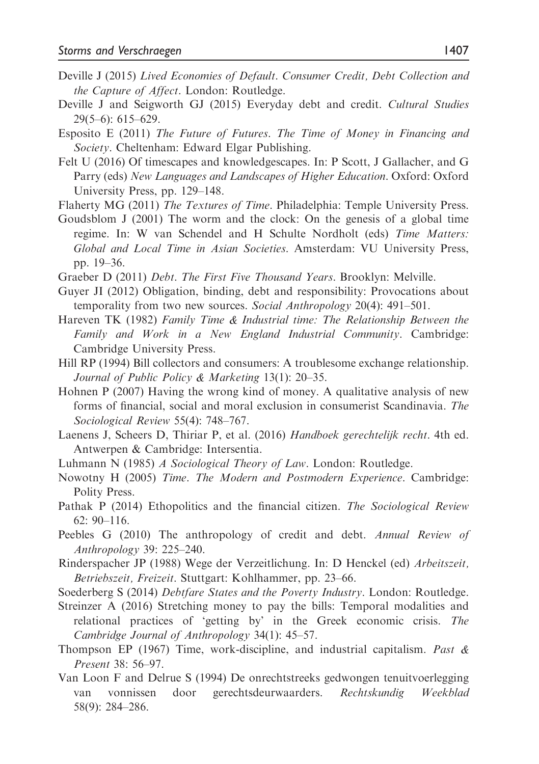- Deville J (2015) Lived Economies of Default. Consumer Credit, Debt Collection and the Capture of Affect. London: Routledge.
- Deville J and Seigworth GJ (2015) Everyday debt and credit. Cultural Studies 29(5–6): 615–629.
- Esposito E (2011) The Future of Futures. The Time of Money in Financing and Society. Cheltenham: Edward Elgar Publishing.
- Felt U (2016) Of timescapes and knowledgescapes. In: P Scott, J Gallacher, and G Parry (eds) New Languages and Landscapes of Higher Education. Oxford: Oxford University Press, pp. 129–148.
- Flaherty MG (2011) The Textures of Time. Philadelphia: Temple University Press.
- Goudsblom J (2001) The worm and the clock: On the genesis of a global time regime. In: W van Schendel and H Schulte Nordholt (eds) Time Matters: Global and Local Time in Asian Societies. Amsterdam: VU University Press, pp. 19–36.
- Graeber D (2011) Debt. The First Five Thousand Years. Brooklyn: Melville.
- Guyer JI (2012) Obligation, binding, debt and responsibility: Provocations about temporality from two new sources. Social Anthropology 20(4): 491-501.
- Hareven TK (1982) Family Time & Industrial time: The Relationship Between the Family and Work in a New England Industrial Community. Cambridge: Cambridge University Press.
- Hill RP (1994) Bill collectors and consumers: A troublesome exchange relationship. Journal of Public Policy & Marketing 13(1): 20–35.
- Hohnen P (2007) Having the wrong kind of money. A qualitative analysis of new forms of financial, social and moral exclusion in consumerist Scandinavia. The Sociological Review 55(4): 748–767.
- Laenens J, Scheers D, Thiriar P, et al. (2016) Handboek gerechtelijk recht. 4th ed. Antwerpen & Cambridge: Intersentia.
- Luhmann N (1985) A Sociological Theory of Law. London: Routledge.
- Nowotny H (2005) Time. The Modern and Postmodern Experience. Cambridge: Polity Press.
- Pathak P (2014) Ethopolitics and the financial citizen. The Sociological Review 62: 90–116.
- Peebles G (2010) The anthropology of credit and debt. Annual Review of Anthropology 39: 225–240.
- Rinderspacher JP (1988) Wege der Verzeitlichung. In: D Henckel (ed) Arbeitszeit, Betriebszeit, Freizeit. Stuttgart: Kohlhammer, pp. 23–66.
- Soederberg S (2014) Debtfare States and the Poverty Industry. London: Routledge.
- Streinzer A (2016) Stretching money to pay the bills: Temporal modalities and relational practices of 'getting by' in the Greek economic crisis. The Cambridge Journal of Anthropology 34(1): 45–57.
- Thompson EP (1967) Time, work-discipline, and industrial capitalism. Past  $\&$ Present 38: 56–97.
- Van Loon F and Delrue S (1994) De onrechtstreeks gedwongen tenuitvoerlegging van vonnissen door gerechtsdeurwaarders. Rechtskundig Weekblad 58(9): 284–286.